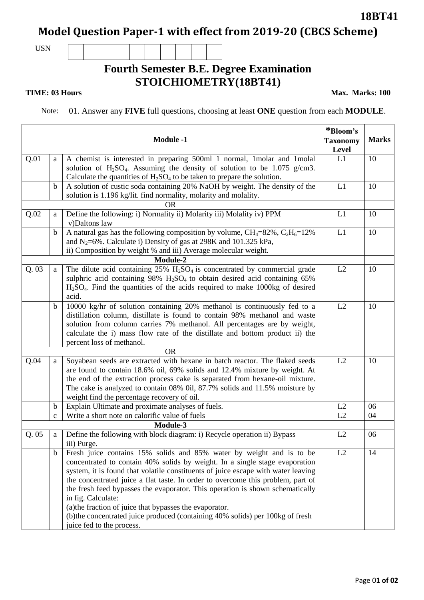## **Model Question Paper-1 with effect from 2019-20 (CBCS Scheme)**

USN

## **Fourth Semester B.E. Degree Examination STOICHIOMETRY(18BT41)**

**TIME: 03 Hours** Max. Marks: 100

Note: 01. Answer any **FIVE** full questions, choosing at least **ONE** question from each **MODULE**.

|      |              | <b>Module -1</b>                                                                                     | *Bloom's<br><b>Taxonomy</b> | <b>Marks</b> |
|------|--------------|------------------------------------------------------------------------------------------------------|-----------------------------|--------------|
| Q.01 | a            | A chemist is interested in preparing 500ml 1 normal, 1molar and 1molal                               | Level<br>L1                 | 10           |
|      |              | solution of $H_2SO_4$ . Assuming the density of solution to be 1.075 g/cm3.                          |                             |              |
|      |              | Calculate the quantities of $H_2SO_4$ to be taken to prepare the solution.                           |                             |              |
|      | $\mathbf b$  | A solution of custic soda containing 20% NaOH by weight. The density of the                          | L1                          | 10           |
|      |              | solution is 1.196 kg/lit. find normality, molarity and molality.                                     |                             |              |
|      |              | <b>OR</b>                                                                                            |                             |              |
| Q.02 | a            | Define the following: i) Normality ii) Molarity iii) Molality iv) PPM<br>v)Daltons law               | L1                          | 10           |
|      | $\mathbf b$  | A natural gas has the following composition by volume, $CH_4=82\%$ , $C_2H_6=12\%$                   | L1                          | 10           |
|      |              | and N <sub>2</sub> =6%. Calculate i) Density of gas at 298K and 101.325 kPa,                         |                             |              |
|      |              | ii) Composition by weight % and iii) Average molecular weight.                                       |                             |              |
|      |              | Module-2                                                                                             |                             |              |
| Q.03 | a            | The dilute acid containing $25\%$ H <sub>2</sub> SO <sub>4</sub> is concentrated by commercial grade | L2                          | 10           |
|      |              | sulphric acid containing $98\%$ H <sub>2</sub> SO <sub>4</sub> to obtain desired acid containing 65% |                             |              |
|      |              | $H2SO4$ . Find the quantities of the acids required to make 1000kg of desired                        |                             |              |
|      |              | acid.                                                                                                |                             |              |
|      | $\mathbf b$  | 10000 kg/hr of solution containing 20% methanol is continuously fed to a                             | L2                          | 10           |
|      |              | distillation column, distillate is found to contain 98% methanol and waste                           |                             |              |
|      |              | solution from column carries 7% methanol. All percentages are by weight,                             |                             |              |
|      |              | calculate the i) mass flow rate of the distillate and bottom product ii) the                         |                             |              |
|      |              | percent loss of methanol.                                                                            |                             |              |
|      |              | <b>OR</b>                                                                                            |                             |              |
| Q.04 | a            | Soyabean seeds are extracted with hexane in batch reactor. The flaked seeds                          | L2                          | 10           |
|      |              | are found to contain 18.6% oil, 69% solids and 12.4% mixture by weight. At                           |                             |              |
|      |              | the end of the extraction process cake is separated from hexane-oil mixture.                         |                             |              |
|      |              | The cake is analyzed to contain 08% 0il, 87.7% solids and 11.5% moisture by                          |                             |              |
|      |              | weight find the percentage recovery of oil.                                                          |                             |              |
|      | $\mathbf b$  | Explain Ultimate and proximate analyses of fuels.                                                    | L2                          | 06           |
|      | $\mathbf{C}$ | Write a short note on calorific value of fuels                                                       | L2                          | 04           |
| Q.05 |              | Module-3<br>Define the following with block diagram: i) Recycle operation ii) Bypass                 | L2                          | 06           |
|      | a            | iii) Purge.                                                                                          |                             |              |
|      | $\mathbf b$  | Fresh juice contains 15% solids and 85% water by weight and is to be                                 | L2                          | 14           |
|      |              | concentrated to contain 40% solids by weight. In a single stage evaporation                          |                             |              |
|      |              | system, it is found that volatile constituents of juice escape with water leaving                    |                             |              |
|      |              | the concentrated juice a flat taste. In order to overcome this problem, part of                      |                             |              |
|      |              | the fresh feed bypasses the evaporator. This operation is shown schematically                        |                             |              |
|      |              | in fig. Calculate:                                                                                   |                             |              |
|      |              | (a) the fraction of juice that bypasses the evaporator.                                              |                             |              |
|      |              | (b) the concentrated juice produced (containing 40% solids) per 100kg of fresh                       |                             |              |
|      |              | juice fed to the process.                                                                            |                             |              |